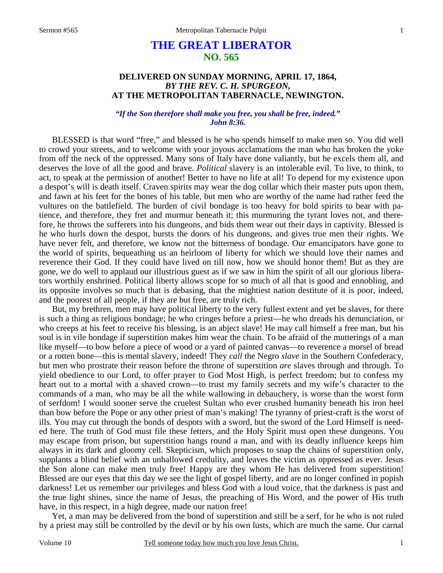# **THE GREAT LIBERATOR NO. 565**

### **DELIVERED ON SUNDAY MORNING, APRIL 17, 1864,**  *BY THE REV. C. H. SPURGEON,*  **AT THE METROPOLITAN TABERNACLE, NEWINGTON.**

### *"If the Son therefore shall make you free, you shall be free, indeed." John 8:36.*

BLESSED is that word "free," and blessed is he who spends himself to make men so. You did well to crowd your streets, and to welcome with your joyous acclamations the man who has broken the yoke from off the neck of the oppressed. Many sons of Italy have done valiantly, but he excels them all, and deserves the love of all the good and brave. *Political* slavery is an intolerable evil. To live, to think, to act, to speak at the permission of another! Better to have no life at all! To depend for my existence upon a despot's will is death itself. Craven spirits may wear the dog collar which their master puts upon them, and fawn at his feet for the bones of his table, but men who are worthy of the name had rather feed the vultures on the battlefield. The burden of civil bondage is too heavy for bold spirits to bear with patience, and therefore, they fret and murmur beneath it; this murmuring the tyrant loves not, and therefore, he throws the sufferers into his dungeons, and bids them wear out their days in captivity. Blessed is he who hurls down the despot, bursts the doors of his dungeons, and gives true men their rights. We have never felt, and therefore, we know not the bitterness of bondage. Our emancipators have gone to the world of spirits, bequeathing us an heirloom of liberty for which we should love their names and reverence their God. If they could have lived on till now, how we should honor them! But as they are gone, we do well to applaud our illustrious guest as if we saw in him the spirit of all our glorious liberators worthily enshrined. Political liberty allows scope for so much of all that is good and ennobling, and its opposite involves so much that is debasing, that the mightiest nation destitute of it is poor, indeed, and the poorest of all people, if they are but free, are truly rich.

But, my brethren, men may have political liberty to the very fullest extent and yet be slaves, for there is such a thing as religious bondage; he who cringes before a priest—he who dreads his denunciation, or who creeps at his feet to receive his blessing, is an abject slave! He may call himself a free man, but his soul is in vile bondage if superstition makes him wear the chain. To be afraid of the mutterings of a man like myself—to bow before a piece of wood or a yard of painted canvas—to reverence a morsel of bread or a rotten bone—this is mental slavery, indeed! They *call* the Negro *slave* in the Southern Confederacy, but men who prostrate their reason before the throne of superstition *are* slaves through and through. To yield obedience to our Lord, to offer prayer to God Most High, is perfect freedom; but to confess my heart out to a mortal with a shaved crown—to trust my family secrets and my wife's character to the commands of a man, who may be all the while wallowing in debauchery, is worse than the worst form of serfdom! I would sooner serve the cruelest Sultan who ever crushed humanity beneath his iron heel than bow before the Pope or any other priest of man's making! The tyranny of priest-craft is the worst of ills. You may cut through the bonds of despots with a sword, but the sword of the Lord Himself is needed here. The truth of God must file these fetters, and the Holy Spirit must open these dungeons. You may escape from prison, but superstition hangs round a man, and with its deadly influence keeps him always in its dark and gloomy cell. Skepticism, which proposes to snap the chains of superstition only, supplants a blind belief with an unhallowed credulity, and leaves the victim as oppressed as ever. Jesus the Son alone can make men truly free! Happy are they whom He has delivered from superstition! Blessed are our eyes that this day we see the light of gospel liberty, and are no longer confined in popish darkness! Let us remember our privileges and bless God with a loud voice, that the darkness is past and the true light shines, since the name of Jesus, the preaching of His Word, and the power of His truth have, in this respect, in a high degree, made our nation free!

Yet, a man may be delivered from the bond of superstition and still be a serf, for he who is not ruled by a priest may still be controlled by the devil or by his own lusts, which are much the same. Our carnal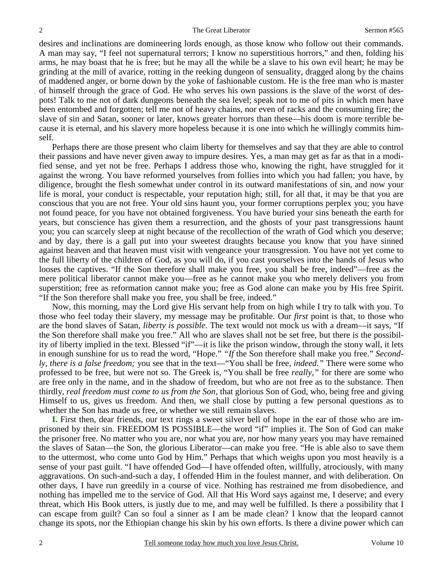desires and inclinations are domineering lords enough, as those know who follow out their commands. A man may say, "I feel not supernatural terrors; I know no superstitious horrors," and then, folding his arms, he may boast that he is free; but he may all the while be a slave to his own evil heart; he may be grinding at the mill of avarice, rotting in the reeking dungeon of sensuality, dragged along by the chains of maddened anger, or borne down by the yoke of fashionable custom. He is the free man who is master of himself through the grace of God. He who serves his own passions is the slave of the worst of despots! Talk to me not of dark dungeons beneath the sea level; speak not to me of pits in which men have been entombed and forgotten; tell me not of heavy chains, nor even of racks and the consuming fire; the slave of sin and Satan, sooner or later, knows greater horrors than these—his doom is more terrible because it is eternal, and his slavery more hopeless because it is one into which he willingly commits himself.

Perhaps there are those present who claim liberty for themselves and say that they are able to control their passions and have never given away to impure desires. Yes, a man may get as far as that in a modified sense, and yet not be free. Perhaps I address those who, knowing the right, have struggled for it against the wrong. You have reformed yourselves from follies into which you had fallen; you have, by diligence, brought the flesh somewhat under control in its outward manifestations of sin, and now your life is moral, your conduct is respectable, your reputation high; still, for all that, it may be that you are conscious that you are not free. Your old sins haunt you, your former corruptions perplex you; you have not found peace, for you have not obtained forgiveness. You have buried your sins beneath the earth for years, but conscience has given them a resurrection, and the ghosts of your past transgressions haunt you; you can scarcely sleep at night because of the recollection of the wrath of God which you deserve; and by day, there is a gall put into your sweetest draughts because you know that you have sinned against heaven and that heaven must visit with vengeance your transgression. You have not yet come to the full liberty of the children of God, as you will do, if you cast yourselves into the hands of Jesus who looses the captives. "If the Son therefore shall make you free, you shall be free, indeed"—free as the mere political liberator cannot make you—free as he cannot make you who merely delivers you from superstition; free as reformation cannot make you; free as God alone can make you by His free Spirit. "If the Son therefore shall make you free, you shall be free, indeed."

Now, this morning, may the Lord give His servant help from on high while I try to talk with you. To those who feel today their slavery, my message may be profitable. Our *first* point is that, to those who are the bond slaves of Satan, *liberty is possible*. The text would not mock us with a dream—it says, "If the Son therefore shall make you free." All who are slaves shall not be set free, but there is the possibility of liberty implied in the text. Blessed "if"—it is like the prison window, through the stony wall, it lets in enough sunshine for us to read the word, "Hope." *"If* the Son therefore shall make you free." *Secondly, there is a false freedom;* you see that in the text—"You shall be free, *indeed."* There were some who professed to be free, but were not so. The Greek is, "You shall be free *really,"* for there are some who are free only in the name, and in the shadow of freedom, but who are not free as to the substance. Then thirdly, *real freedom must come to us from the Son,* that glorious Son of God, who, being free and giving Himself to us, gives us freedom. And then, we shall close by putting a few personal questions as to whether the Son has made us free, or whether we still remain slaves.

**I.** First then, dear friends, our text rings a sweet silver bell of hope in the ear of those who are imprisoned by their sin. FREEDOM IS POSSIBLE—the word "if" implies it. The Son of God can make the prisoner free. No matter who you are, nor what you are, nor how many years you may have remained the slaves of Satan—the Son, the glorious Liberator—can make you free. "He is able also to save them to the uttermost, who come unto God by Him." Perhaps that which weighs upon you most heavily is a sense of your past guilt. "I have offended God—I have offended often, willfully, atrociously, with many aggravations. On such-and-such a day, I offended Him in the foulest manner, and with deliberation. On other days, I have run greedily in a course of vice. Nothing has restrained me from disobedience, and nothing has impelled me to the service of God. All that His Word says against me, I deserve; and every threat, which His Book utters, is justly due to me, and may well be fulfilled. Is there a possibility that I can escape from guilt? Can so foul a sinner as I am be made clean? I know that the leopard cannot change its spots, nor the Ethiopian change his skin by his own efforts. Is there a divine power which can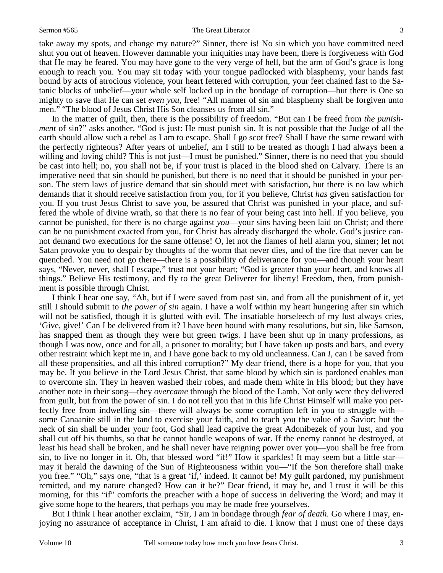#### Sermon #565 The Great Liberator

take away my spots, and change my nature?" Sinner, there is! No sin which you have committed need shut you out of heaven. However damnable your iniquities may have been, there is forgiveness with God that He may be feared. You may have gone to the very verge of hell, but the arm of God's grace is long enough to reach you. You may sit today with your tongue padlocked with blasphemy, your hands fast bound by acts of atrocious violence, your heart fettered with corruption, your feet chained fast to the Satanic blocks of unbelief—your whole self locked up in the bondage of corruption—but there is One so mighty to save that He can set *even you,* free! "All manner of sin and blasphemy shall be forgiven unto men." "The blood of Jesus Christ His Son cleanses us from all sin."

In the matter of guilt, then, there is the possibility of freedom. "But can I be freed from *the punishment* of sin?" asks another. "God is just: He must punish sin. It is not possible that the Judge of all the earth should allow such a rebel as I am to escape. Shall I go scot free? Shall I have the same reward with the perfectly righteous? After years of unbelief, am I still to be treated as though I had always been a willing and loving child? This is not just—I must be punished." Sinner, there is no need that you should be cast into hell; no, you shall not be, if your trust is placed in the blood shed on Calvary. There is an imperative need that sin should be punished, but there is no need that it should be punished in your person. The stern laws of justice demand that sin should meet with satisfaction, but there is no law which demands that it should receive satisfaction from you, for if you believe, Christ *has* given satisfaction for you. If you trust Jesus Christ to save you, be assured that Christ was punished in your place, and suffered the whole of divine wrath, so that there is no fear of your being cast into hell. If you believe, you cannot be punished, for there is no charge against *you*—your sins having been laid on Christ; and there can be no punishment exacted from you, for Christ has already discharged the whole. God's justice cannot demand two executions for the same offense! O, let not the flames of hell alarm you, sinner; let not Satan provoke you to despair by thoughts of the worm that never dies, and of the fire that never can be quenched. You need not go there—there is a possibility of deliverance for you—and though your heart says, "Never, never, shall I escape," trust not your heart; "God is greater than your heart, and knows all things." Believe His testimony, and fly to the great Deliverer for liberty! Freedom, then, from punishment is possible through Christ.

I think I hear one say, "Ah, but if I were saved from past sin, and from all the punishment of it, yet still I should submit to *the power of sin* again. I have a wolf within my heart hungering after sin which will not be satisfied, though it is glutted with evil. The insatiable horseleech of my lust always cries, 'Give, give!' Can I be delivered from it? I have been bound with many resolutions, but sin, like Samson, has snapped them as though they were but green twigs. I have been shut up in many professions, as though I was now, once and for all, a prisoner to morality; but I have taken up posts and bars, and every other restraint which kept me in, and I have gone back to my old uncleanness. Can *I,* can I be saved from all these propensities, and all this inbred corruption?" My dear friend, there is a hope for you, that you may be. If you believe in the Lord Jesus Christ, that same blood by which sin is pardoned enables man to overcome sin. They in heaven washed their robes, and made them white in His blood; but they have another note in their song—they *overcame* through the blood of the Lamb. Not only were they delivered from guilt, but from the power of sin. I do not tell you that in this life Christ Himself will make you perfectly free from indwelling sin—there will always be some corruption left in you to struggle with some Canaanite still in the land to exercise your faith, and to teach you the value of a Savior; but the neck of sin shall be under your foot, God shall lead captive the great Adonibezek of your lust, and you shall cut off his thumbs, so that he cannot handle weapons of war. If the enemy cannot be destroyed, at least his head shall be broken, and he shall never have reigning power over you—you shall be free from sin, to live no longer in it. Oh, that blessed word "if!" How it sparkles! It may seem but a little star may it herald the dawning of the Sun of Righteousness within you—"If the Son therefore shall make you free." "Oh," says one, "that is a great 'if,' indeed. It cannot be! My guilt pardoned, my punishment remitted, and my nature changed? How can it be?" Dear friend, it may be, and I trust it will be this morning, for this "if" comforts the preacher with a hope of success in delivering the Word; and may it give some hope to the hearers, that perhaps you may be made free yourselves.

But I think I hear another exclaim, "Sir, I am in bondage through *fear of death*. Go where I may, enjoying no assurance of acceptance in Christ, I am afraid to die. I know that I must one of these days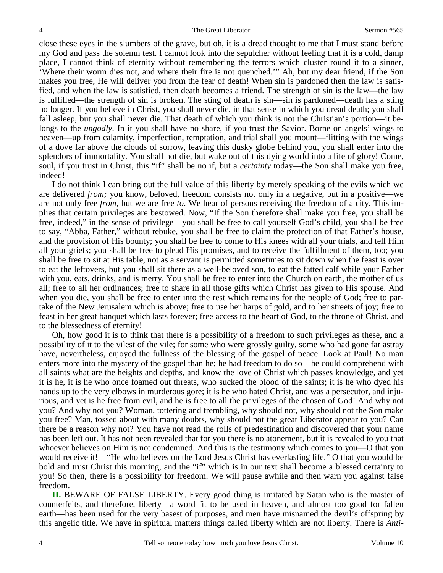close these eyes in the slumbers of the grave, but oh, it is a dread thought to me that I must stand before my God and pass the solemn test. I cannot look into the sepulcher without feeling that it is a cold, damp place, I cannot think of eternity without remembering the terrors which cluster round it to a sinner, 'Where their worm dies not, and where their fire is not quenched.'" Ah, but my dear friend, if the Son makes you free, He will deliver you from the fear of death! When sin is pardoned then the law is satisfied, and when the law is satisfied, then death becomes a friend. The strength of sin is the law—the law is fulfilled—the strength of sin is broken. The sting of death is sin—sin is pardoned—death has a sting no longer. If you believe in Christ, you shall never die, in that sense in which you dread death; you shall fall asleep, but you shall never die. That death of which you think is not the Christian's portion—it belongs to the *ungodly*. In it you shall have no share, if you trust the Savior. Borne on angels' wings to heaven—up from calamity, imperfection, temptation, and trial shall you mount—flitting with the wings of a dove far above the clouds of sorrow, leaving this dusky globe behind you, you shall enter into the splendors of immortality. You shall not die, but wake out of this dying world into a life of glory! Come, soul, if you trust in Christ, this "if" shall be no if, but a *certainty* today—the Son shall make you free, indeed!

I do not think I can bring out the full value of this liberty by merely speaking of the evils which we are delivered *from;* you know, beloved, freedom consists not only in a negative, but in a positive—we are not only free *from*, but we are free *to*. We hear of persons receiving the freedom of a city. This implies that certain privileges are bestowed. Now, "If the Son therefore shall make you free, you shall be free, indeed," in the sense of privilege—you shall be free to call yourself God's child, you shall be free to say, "Abba, Father," without rebuke, you shall be free to claim the protection of that Father's house, and the provision of His bounty; you shall be free to come to His knees with all your trials, and tell Him all your griefs; you shall be free to plead His promises, and to receive the fulfillment of them, too; you shall be free to sit at His table, not as a servant is permitted sometimes to sit down when the feast is over to eat the leftovers, but you shall sit there as a well-beloved son, to eat the fatted calf while your Father with you, eats, drinks, and is merry. You shall be free to enter into the Church on earth, the mother of us all; free to all her ordinances; free to share in all those gifts which Christ has given to His spouse. And when you die, you shall be free to enter into the rest which remains for the people of God; free to partake of the New Jerusalem which is above; free to use her harps of gold, and to her streets of joy; free to feast in her great banquet which lasts forever; free access to the heart of God, to the throne of Christ, and to the blessedness of eternity!

Oh, how good it is to think that there is a possibility of a freedom to such privileges as these, and a possibility of it to the vilest of the vile; for some who were grossly guilty, some who had gone far astray have, nevertheless, enjoyed the fullness of the blessing of the gospel of peace. Look at Paul! No man enters more into the mystery of the gospel than he; he had freedom to do so—he could comprehend with all saints what are the heights and depths, and know the love of Christ which passes knowledge, and yet it is he, it is he who once foamed out threats, who sucked the blood of the saints; it is he who dyed his hands up to the very elbows in murderous gore; it is he who hated Christ, and was a persecutor, and injurious, and yet is he free from evil, and he is free to all the privileges of the chosen of God! And why not you? And why not you? Woman, tottering and trembling, why should not, why should not the Son make you free? Man, tossed about with many doubts, why should not the great Liberator appear to you? Can there be a reason why not? You have not read the rolls of predestination and discovered that your name has been left out. It has not been revealed that for you there is no atonement, but it is revealed to you that whoever believes on Him is not condemned. And this is the testimony which comes to you—O that you would receive it!—"He who believes on the Lord Jesus Christ has everlasting life." O that you would be bold and trust Christ this morning, and the "if" which is in our text shall become a blessed certainty to you! So then, there is a possibility for freedom. We will pause awhile and then warn you against false freedom.

**II.** BEWARE OF FALSE LIBERTY. Every good thing is imitated by Satan who is the master of counterfeits, and therefore, liberty—a word fit to be used in heaven, and almost too good for fallen earth—has been used for the very basest of purposes, and men have misnamed the devil's offspring by this angelic title. We have in spiritual matters things called liberty which are not liberty. There is *Anti-*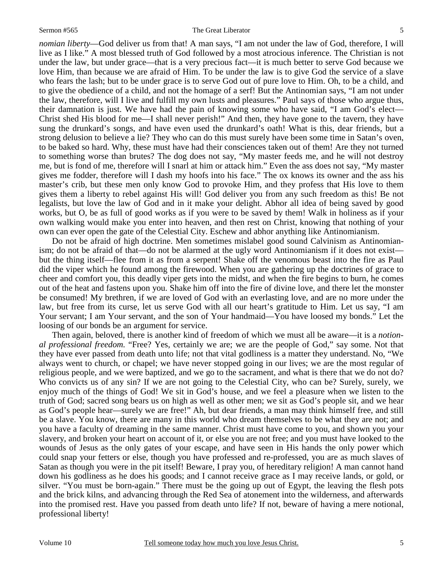*nomian liberty*—God deliver us from that! A man says, "I am not under the law of God, therefore, I will live as I like." A most blessed truth of God followed by a most atrocious inference. The Christian is not under the law, but under grace—that is a very precious fact—it is much better to serve God because we love Him, than because we are afraid of Him. To be under the law is to give God the service of a slave who fears the lash; but to be under grace is to serve God out of pure love to Him. Oh, to be a child, and to give the obedience of a child, and not the homage of a serf! But the Antinomian says, "I am not under the law, therefore, will I live and fulfill my own lusts and pleasures." Paul says of those who argue thus, their damnation is just. We have had the pain of knowing some who have said, "I am God's elect— Christ shed His blood for me—I shall never perish!" And then, they have gone to the tavern, they have sung the drunkard's songs, and have even used the drunkard's oath! What is this, dear friends, but a strong delusion to believe a lie? They who can do this must surely have been some time in Satan's oven, to be baked so hard. Why, these must have had their consciences taken out of them! Are they not turned to something worse than brutes? The dog does not say, "My master feeds me, and he will not destroy me, but is fond of me, therefore will I snarl at him or attack him." Even the ass does not say, "My master gives me fodder, therefore will I dash my hoofs into his face." The ox knows its owner and the ass his master's crib, but these men only know God to provoke Him, and they profess that His love to them gives them a liberty to rebel against His will! God deliver you from any such freedom as this! Be not legalists, but love the law of God and in it make your delight. Abhor all idea of being saved by good works, but O, be as full of good works as if you were to be saved by them! Walk in holiness as if your own walking would make you enter into heaven, and then rest on Christ, knowing that nothing of your own can ever open the gate of the Celestial City. Eschew and abhor anything like Antinomianism.

Do not be afraid of high doctrine. Men sometimes mislabel good sound Calvinism as Antinomianism; do not be afraid of that—do not be alarmed at the ugly word Antinomianism if it does not exist but the thing itself—flee from it as from a serpent! Shake off the venomous beast into the fire as Paul did the viper which he found among the firewood. When you are gathering up the doctrines of grace to cheer and comfort you, this deadly viper gets into the midst, and when the fire begins to burn, he comes out of the heat and fastens upon you. Shake him off into the fire of divine love, and there let the monster be consumed! My brethren, if we are loved of God with an everlasting love, and are no more under the law, but free from its curse, let us serve God with all our heart's gratitude to Him. Let us say, "I am Your servant; I am Your servant, and the son of Your handmaid—You have loosed my bonds." Let the loosing of our bonds be an argument for service.

Then again, beloved, there is another kind of freedom of which we must all be aware—it is a *notional professional freedom.* "Free? Yes, certainly we are; we are the people of God," say some. Not that they have ever passed from death unto life; not that vital godliness is a matter they understand. No, "We always went to church, or chapel; we have never stopped going in our lives; we are the most regular of religious people, and we were baptized, and we go to the sacrament, and what is there that we do not do? Who convicts us of any sin? If we are not going to the Celestial City, who can be? Surely, surely, we enjoy much of the things of God! We sit in God's house, and we feel a pleasure when we listen to the truth of God; sacred song bears us on high as well as other men; we sit as God's people sit, and we hear as God's people hear—surely we are free!" Ah, but dear friends, a man may think himself free, and still be a slave. You know, there are many in this world who dream themselves to be what they are not; and you have a faculty of dreaming in the same manner. Christ must have come to you, and shown you your slavery, and broken your heart on account of it, or else you are not free; and you must have looked to the wounds of Jesus as the only gates of your escape, and have seen in His hands the only power which could snap your fetters or else, though you have professed and re-professed, you are as much slaves of Satan as though you were in the pit itself! Beware, I pray you, of hereditary religion! A man cannot hand down his godliness as he does his goods; and I cannot receive grace as I may receive lands, or gold, or silver. "You must be born-again." There must be the going up out of Egypt, the leaving the flesh pots and the brick kilns, and advancing through the Red Sea of atonement into the wilderness, and afterwards into the promised rest. Have you passed from death unto life? If not, beware of having a mere notional, professional liberty!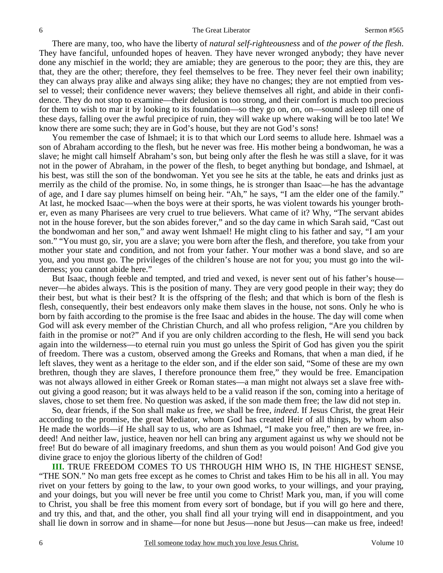There are many, too, who have the liberty of *natural self-righteousness* and of *the power of the flesh*. They have fanciful, unfounded hopes of heaven. They have never wronged anybody; they have never done any mischief in the world; they are amiable; they are generous to the poor; they are this, they are that, they are the other; therefore, they feel themselves to be free. They never feel their own inability; they can always pray alike and always sing alike; they have no changes; they are not emptied from vessel to vessel; their confidence never wavers; they believe themselves all right, and abide in their confidence. They do not stop to examine—their delusion is too strong, and their comfort is much too precious for them to wish to mar it by looking to its foundation—so they go on, on, on—sound asleep till one of these days, falling over the awful precipice of ruin, they will wake up where waking will be too late! We know there are some such; they are in God's house, but they are not God's sons!

You remember the case of Ishmael; it is to that which our Lord seems to allude here. Ishmael was a son of Abraham according to the flesh, but he never was free. His mother being a bondwoman, he was a slave; he might call himself Abraham's son, but being only after the flesh he was still a slave, for it was not in the power of Abraham, in the power of the flesh, to beget anything but bondage, and Ishmael, at his best, was still the son of the bondwoman. Yet you see he sits at the table, he eats and drinks just as merrily as the child of the promise. No, in some things, he is stronger than Isaac—he has the advantage of age, and I dare say plumes himself on being heir. "Ah," he says, "I am the elder one of the family." At last, he mocked Isaac—when the boys were at their sports, he was violent towards his younger brother, even as many Pharisees are very cruel to true believers. What came of it? Why, "The servant abides not in the house forever, but the son abides forever," and so the day came in which Sarah said, "Cast out the bondwoman and her son," and away went Ishmael! He might cling to his father and say, "I am your son." "You must go, sir, you are a slave; you were born after the flesh, and therefore, you take from your mother your state and condition, and not from your father. Your mother was a bond slave, and so are you, and you must go. The privileges of the children's house are not for you; you must go into the wilderness; you cannot abide here."

But Isaac, though feeble and tempted, and tried and vexed, is never sent out of his father's house never—he abides always. This is the position of many. They are very good people in their way; they do their best, but what is their best? It is the offspring of the flesh; and that which is born of the flesh is flesh, consequently, their best endeavors only make them slaves in the house, not sons. Only he who is born by faith according to the promise is the free Isaac and abides in the house. The day will come when God will ask every member of the Christian Church, and all who profess religion, "Are you children by faith in the promise or not?" And if you are only children according to the flesh, He will send you back again into the wilderness—to eternal ruin you must go unless the Spirit of God has given you the spirit of freedom. There was a custom, observed among the Greeks and Romans, that when a man died, if he left slaves, they went as a heritage to the elder son, and if the elder son said, "Some of these are my own brethren, though they are slaves, I therefore pronounce them free," they would be free. Emancipation was not always allowed in either Greek or Roman states—a man might not always set a slave free without giving a good reason; but it was always held to be a valid reason if the son, coming into a heritage of slaves, chose to set them free. No question was asked, if the son made them free; the law did not step in.

So, dear friends, if the Son shall make *us* free, *we* shall be free, *indeed*. If Jesus Christ, the great Heir according to the promise, the great Mediator, whom God has created Heir of all things, by whom also He made the worlds—if He shall say to us, who are as Ishmael, "I make you free," then are we free, indeed! And neither law, justice, heaven nor hell can bring any argument against us why we should not be free! But do beware of all imaginary freedoms, and shun them as you would poison! And God give you divine grace to enjoy the glorious liberty of the children of God!

**III.** TRUE FREEDOM COMES TO US THROUGH HIM WHO IS, IN THE HIGHEST SENSE, "THE SON." No man gets free except as he comes to Christ and takes Him to be his all in all. You may rivet on your fetters by going to the law, to your own good works, to your willings, and your praying, and your doings, but you will never be free until you come to Christ! Mark you, man, if you will come to Christ, you shall be free this moment from every sort of bondage, but if you will go here and there, and try this, and that, and the other, you shall find all your trying will end in disappointment, and you shall lie down in sorrow and in shame—for none but Jesus—none but Jesus—can make us free, indeed!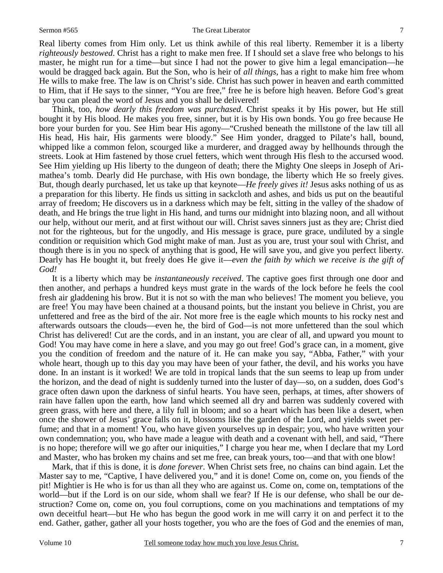#### Sermon #565 The Great Liberator

Real liberty comes from Him only. Let us think awhile of this real liberty. Remember it is a liberty *righteously bestowed*. Christ has a right to make men free. If I should set a slave free who belongs to his master, he might run for a time—but since I had not the power to give him a legal emancipation—he would be dragged back again. But the Son, who is heir of *all things*, has a right to make him free whom He wills to make free. The law is on Christ's side. Christ has such power in heaven and earth committed to Him, that if He says to the sinner, "You are free," free he is before high heaven. Before God's great bar you can plead the word of Jesus and you shall be delivered!

Think, too, *how dearly this freedom was purchased*. Christ speaks it by His power, but He still bought it by His blood. He makes you free, sinner, but it is by His own bonds. You go free because He bore your burden for you. See Him bear His agony—"Crushed beneath the millstone of the law till all His head, His hair, His garments were bloody." See Him yonder, dragged to Pilate's hall, bound, whipped like a common felon, scourged like a murderer, and dragged away by hellhounds through the streets. Look at Him fastened by those cruel fetters, which went through His flesh to the accursed wood. See Him yielding up His liberty to the dungeon of death; there the Mighty One sleeps in Joseph of Arimathea's tomb. Dearly did He purchase, with His own bondage, the liberty which He so freely gives. But, though dearly purchased, let us take up that keynote—*He freely gives it!* Jesus asks nothing of us as a preparation for this liberty. He finds us sitting in sackcloth and ashes, and bids us put on the beautiful array of freedom; He discovers us in a darkness which may be felt, sitting in the valley of the shadow of death, and He brings the true light in His hand, and turns our midnight into blazing noon, and all without our help, without our merit, and at first without our will. Christ saves sinners just as they are; Christ died not for the righteous, but for the ungodly, and His message is grace, pure grace, undiluted by a single condition or requisition which God might make of man. Just as you are, trust your soul with Christ, and though there is in you no speck of anything that is good, He will save you, and give you perfect liberty. Dearly has He bought it, but freely does He give it—*even the faith by which we receive is the gift of God!* 

It is a liberty which may be *instantaneously received*. The captive goes first through one door and then another, and perhaps a hundred keys must grate in the wards of the lock before he feels the cool fresh air gladdening his brow. But it is not so with the man who believes! The moment you believe, you are free! You may have been chained at a thousand points, but the instant you believe in Christ, you are unfettered and free as the bird of the air. Not more free is the eagle which mounts to his rocky nest and afterwards outsoars the clouds—even he, the bird of God—is not more unfettered than the soul which Christ has delivered! Cut are the cords, and in an instant, you are clear of all, and upward you mount to God! You may have come in here a slave, and you may go out free! God's grace can, in a moment, give you the condition of freedom and the nature of it. He can make you say, "Abba, Father," with your whole heart, though up to this day you may have been of your father, the devil, and his works you have done. In an instant is it worked! We are told in tropical lands that the sun seems to leap up from under the horizon, and the dead of night is suddenly turned into the luster of day—so, on a sudden, does God's grace often dawn upon the darkness of sinful hearts. You have seen, perhaps, at times, after showers of rain have fallen upon the earth, how land which seemed all dry and barren was suddenly covered with green grass, with here and there, a lily full in bloom; and so a heart which has been like a desert, when once the shower of Jesus' grace falls on it, blossoms like the garden of the Lord, and yields sweet perfume; and that in a moment! You, who have given yourselves up in despair; you, who have written your own condemnation; you, who have made a league with death and a covenant with hell, and said, "There is no hope; therefore will we go after our iniquities," I charge you hear me, when I declare that my Lord and Master, who has broken my chains and set me free, can break yours, too—and that with one blow!

Mark, that if this is done, it is *done forever*. When Christ sets free, no chains can bind again. Let the Master say to me, "Captive, I have delivered you," and it is done! Come on, come on, you fiends of the pit! Mightier is He who is for us than all they who are against us. Come on, come on, temptations of the world—but if the Lord is on our side, whom shall we fear? If He is our defense, who shall be our destruction? Come on, come on, you foul corruptions, come on you machinations and temptations of my own deceitful heart—but He who has begun the good work in me will carry it on and perfect it to the end. Gather, gather, gather all your hosts together, you who are the foes of God and the enemies of man,